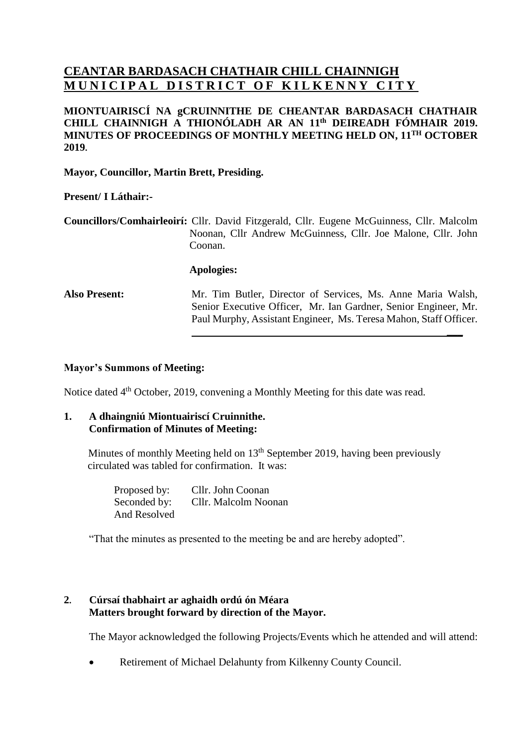# **CEANTAR BARDASACH CHATHAIR CHILL CHAINNIGH MUNICIPAL DISTRICT OF KILKENNY CITY**

**MIONTUAIRISCÍ NA gCRUINNITHE DE CHEANTAR BARDASACH CHATHAIR CHILL CHAINNIGH A THIONÓLADH AR AN 11 th DEIREADH FÓMHAIR 2019. MINUTES OF PROCEEDINGS OF MONTHLY MEETING HELD ON, 11 TH OCTOBER 2019.**

**Mayor, Councillor, Martin Brett, Presiding.**

## **Present/ I Láthair:-**

**Councillors/Comhairleoirí:** Cllr. David Fitzgerald, Cllr. Eugene McGuinness, Cllr. Malcolm Noonan, Cllr Andrew McGuinness, Cllr. Joe Malone, Cllr. John Coonan.

#### **Apologies:**

**Also Present:** Mr. Tim Butler, Director of Services, Ms. Anne Maria Walsh, Senior Executive Officer, Mr. Ian Gardner, Senior Engineer, Mr. Paul Murphy, Assistant Engineer, Ms. Teresa Mahon, Staff Officer.

**\_\_\_**

#### **Mayor's Summons of Meeting:**

Notice dated 4<sup>th</sup> October, 2019, convening a Monthly Meeting for this date was read.

#### **1. A dhaingniú Miontuairiscí Cruinnithe. Confirmation of Minutes of Meeting:**

Minutes of monthly Meeting held on 13<sup>th</sup> September 2019, having been previously circulated was tabled for confirmation. It was:

> Proposed by: Cllr. John Coonan Seconded by: Cllr. Malcolm Noonan And Resolved

"That the minutes as presented to the meeting be and are hereby adopted".

## **2. Cúrsaí thabhairt ar aghaidh ordú ón Méara Matters brought forward by direction of the Mayor.**

The Mayor acknowledged the following Projects/Events which he attended and will attend:

•Retirement of Michael Delahunty from Kilkenny County Council.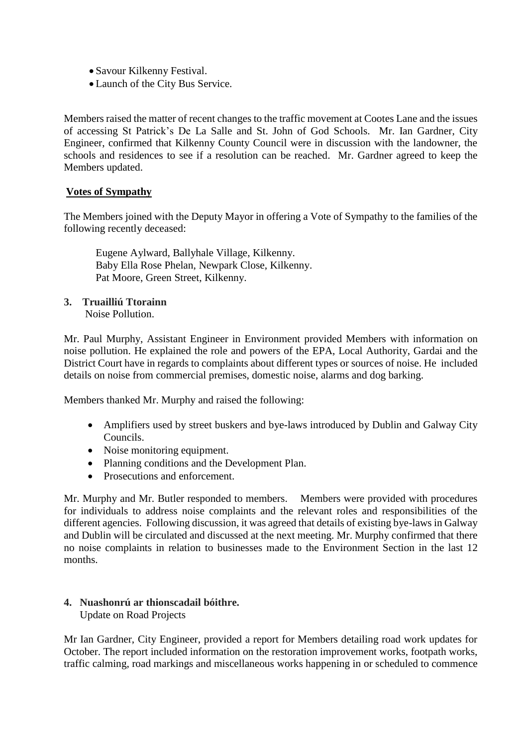- Savour Kilkenny Festival.
- Launch of the City Bus Service.

Members raised the matter of recent changes to the traffic movement at Cootes Lane and the issues of accessing St Patrick's De La Salle and St. John of God Schools. Mr. Ian Gardner, City Engineer, confirmed that Kilkenny County Council were in discussion with the landowner, the schools and residences to see if a resolution can be reached. Mr. Gardner agreed to keep the Members updated.

## **Votes of Sympathy**

The Members joined with the Deputy Mayor in offering a Vote of Sympathy to the families of the following recently deceased:

Eugene Aylward, Ballyhale Village, Kilkenny. Baby Ella Rose Phelan, Newpark Close, Kilkenny. Pat Moore, Green Street, Kilkenny.

**3. Truailliú Ttorainn** 

Noise Pollution.

Mr. Paul Murphy, Assistant Engineer in Environment provided Members with information on noise pollution. He explained the role and powers of the EPA, Local Authority, Gardai and the District Court have in regards to complaints about different types or sources of noise. He included details on noise from commercial premises, domestic noise, alarms and dog barking.

Members thanked Mr. Murphy and raised the following:

- Amplifiers used by street buskers and bye-laws introduced by Dublin and Galway City Councils.
- Noise monitoring equipment.
- Planning conditions and the Development Plan.
- Prosecutions and enforcement.

Mr. Murphy and Mr. Butler responded to members. Members were provided with procedures for individuals to address noise complaints and the relevant roles and responsibilities of the different agencies. Following discussion, it was agreed that details of existing bye-laws in Galway and Dublin will be circulated and discussed at the next meeting. Mr. Murphy confirmed that there no noise complaints in relation to businesses made to the Environment Section in the last 12 months.

# **4. Nuashonrú ar thionscadail bóithre.**

Update on Road Projects

Mr Ian Gardner, City Engineer, provided a report for Members detailing road work updates for October. The report included information on the restoration improvement works, footpath works, traffic calming, road markings and miscellaneous works happening in or scheduled to commence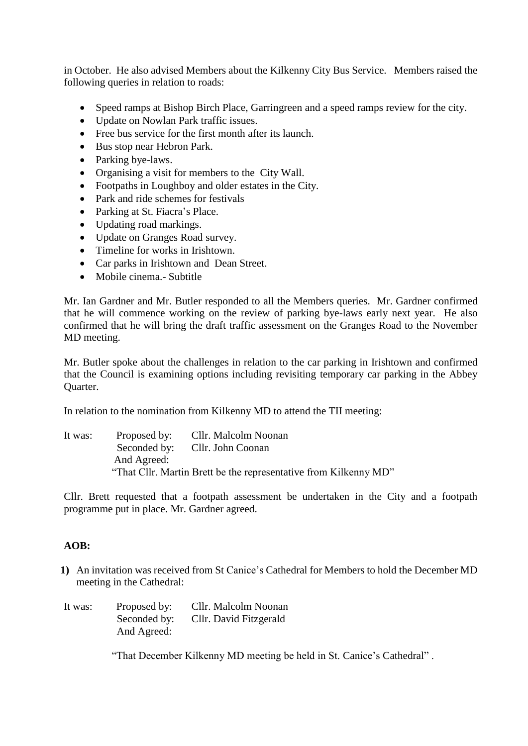in October. He also advised Members about the Kilkenny City Bus Service. Members raised the following queries in relation to roads:

- Speed ramps at Bishop Birch Place, Garringreen and a speed ramps review for the city.
- Update on Nowlan Park traffic issues.
- Free bus service for the first month after its launch.
- Bus stop near Hebron Park.
- Parking bye-laws.
- Organising a visit for members to the City Wall.
- Footpaths in Loughboy and older estates in the City.
- Park and ride schemes for festivals
- Parking at St. Fiacra's Place.
- Updating road markings.
- Update on Granges Road survey.
- Timeline for works in Irishtown.
- Car parks in Irishtown and Dean Street.
- Mobile cinema.- Subtitle

Mr. Ian Gardner and Mr. Butler responded to all the Members queries. Mr. Gardner confirmed that he will commence working on the review of parking bye-laws early next year. He also confirmed that he will bring the draft traffic assessment on the Granges Road to the November MD meeting.

Mr. Butler spoke about the challenges in relation to the car parking in Irishtown and confirmed that the Council is examining options including revisiting temporary car parking in the Abbey Quarter.

In relation to the nomination from Kilkenny MD to attend the TII meeting:

It was: Proposed by: Cllr. Malcolm Noonan Seconded by: Cllr. John Coonan And Agreed: "That Cllr. Martin Brett be the representative from Kilkenny MD"

Cllr. Brett requested that a footpath assessment be undertaken in the City and a footpath programme put in place. Mr. Gardner agreed.

# **AOB:**

- **1)** An invitation was received from St Canice's Cathedral for Members to hold the December MD meeting in the Cathedral:
- It was: Proposed by: Cllr. Malcolm Noonan Seconded by: Cllr. David Fitzgerald And Agreed:

"That December Kilkenny MD meeting be held in St. Canice's Cathedral" .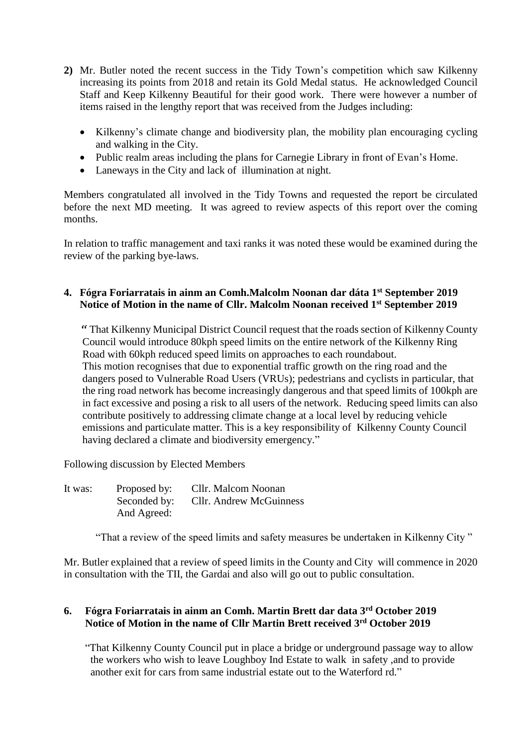- **2)** Mr. Butler noted the recent success in the Tidy Town's competition which saw Kilkenny increasing its points from 2018 and retain its Gold Medal status. He acknowledged Council Staff and Keep Kilkenny Beautiful for their good work. There were however a number of items raised in the lengthy report that was received from the Judges including:
	- Kilkenny's climate change and biodiversity plan, the mobility plan encouraging cycling and walking in the City.
	- Public realm areas including the plans for Carnegie Library in front of Evan's Home.
	- Laneways in the City and lack of illumination at night.

Members congratulated all involved in the Tidy Towns and requested the report be circulated before the next MD meeting. It was agreed to review aspects of this report over the coming months.

In relation to traffic management and taxi ranks it was noted these would be examined during the review of the parking bye-laws.

# **4. Fógra Foriarratais in ainm an Comh.Malcolm Noonan dar dáta 1st September 2019 Notice of Motion in the name of Cllr. Malcolm Noonan received 1st September 2019**

 " That Kilkenny Municipal District Council request that the roads section of Kilkenny County Council would introduce 80kph speed limits on the entire network of the Kilkenny Ring Road with 60kph reduced speed limits on approaches to each roundabout. This motion recognises that due to exponential traffic growth on the ring road and the dangers posed to Vulnerable Road Users (VRUs); pedestrians and cyclists in particular, that the ring road network has become increasingly dangerous and that speed limits of 100kph are in fact excessive and posing a risk to all users of the network. Reducing speed limits can also contribute positively to addressing climate change at a local level by reducing vehicle emissions and particulate matter. This is a key responsibility of Kilkenny County Council having declared a climate and biodiversity emergency."

Following discussion by Elected Members

| It was: | Proposed by: | Cllr. Malcom Noonan            |
|---------|--------------|--------------------------------|
|         | Seconded by: | <b>Cllr.</b> Andrew McGuinness |
|         | And Agreed:  |                                |

"That a review of the speed limits and safety measures be undertaken in Kilkenny City "

Mr. Butler explained that a review of speed limits in the County and City will commence in 2020 in consultation with the TII, the Gardai and also will go out to public consultation.

# **6. Fógra Foriarratais in ainm an Comh. Martin Brett dar data 3rd October 2019 Notice of Motion in the name of Cllr Martin Brett received 3rd October 2019**

 "That Kilkenny County Council put in place a bridge or underground passage way to allow the workers who wish to leave Loughboy Ind Estate to walk in safety ,and to provide another exit for cars from same industrial estate out to the Waterford rd."